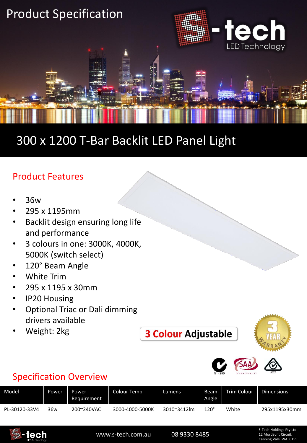

## 300 x 1200 T-Bar Backlit LED Panel Light

## Product Features

- 36w
- 295 x 1195mm
- Backlit design ensuring long life and performance
- 3 colours in one: 3000K, 4000K, 5000K (switch select)
- 120° Beam Angle
- White Trim
- 295 x 1195 x 30mm
- IP20 Housing
- Optional Triac or Dali dimming drivers available
- Weight: 2kg

**3 Colour Adjustable** 





## Specification Overview

| Model         | Power | Power<br>Requirement | Colour Temp     | Lumens      | Beam<br>Angle | <b>Trim Colour</b> | <b>Dimensions</b> |
|---------------|-------|----------------------|-----------------|-------------|---------------|--------------------|-------------------|
| PL-30120-33V4 | 36w   | 200~240VAC           | 3000-4000-5000K | 3010~3412lm | 120°          | White              | 295x1195x30mm     |



www.s-tech.com.au 08 9330 8485

S-Tech Holdings Pty Ltd 12 Mordaunt Circuit, Canning Vale WA 6155